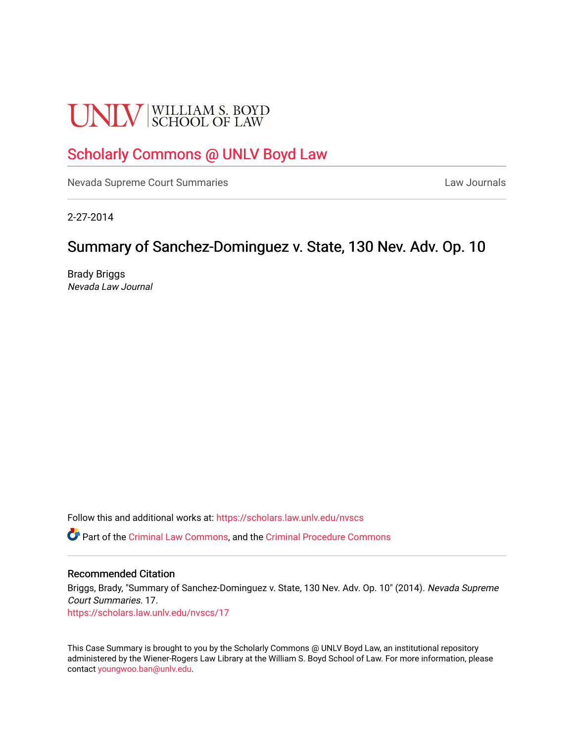# **UNLV** SCHOOL OF LAW

## [Scholarly Commons @ UNLV Boyd Law](https://scholars.law.unlv.edu/)

[Nevada Supreme Court Summaries](https://scholars.law.unlv.edu/nvscs) **Law Journals** Law Journals

2-27-2014

### Summary of Sanchez-Dominguez v. State, 130 Nev. Adv. Op. 10

Brady Briggs Nevada Law Journal

Follow this and additional works at: [https://scholars.law.unlv.edu/nvscs](https://scholars.law.unlv.edu/nvscs?utm_source=scholars.law.unlv.edu%2Fnvscs%2F17&utm_medium=PDF&utm_campaign=PDFCoverPages)

Part of the [Criminal Law Commons,](http://network.bepress.com/hgg/discipline/912?utm_source=scholars.law.unlv.edu%2Fnvscs%2F17&utm_medium=PDF&utm_campaign=PDFCoverPages) and the [Criminal Procedure Commons](http://network.bepress.com/hgg/discipline/1073?utm_source=scholars.law.unlv.edu%2Fnvscs%2F17&utm_medium=PDF&utm_campaign=PDFCoverPages)

#### Recommended Citation

Briggs, Brady, "Summary of Sanchez-Dominguez v. State, 130 Nev. Adv. Op. 10" (2014). Nevada Supreme Court Summaries. 17. [https://scholars.law.unlv.edu/nvscs/17](https://scholars.law.unlv.edu/nvscs/17?utm_source=scholars.law.unlv.edu%2Fnvscs%2F17&utm_medium=PDF&utm_campaign=PDFCoverPages) 

This Case Summary is brought to you by the Scholarly Commons @ UNLV Boyd Law, an institutional repository administered by the Wiener-Rogers Law Library at the William S. Boyd School of Law. For more information, please contact [youngwoo.ban@unlv.edu](mailto:youngwoo.ban@unlv.edu).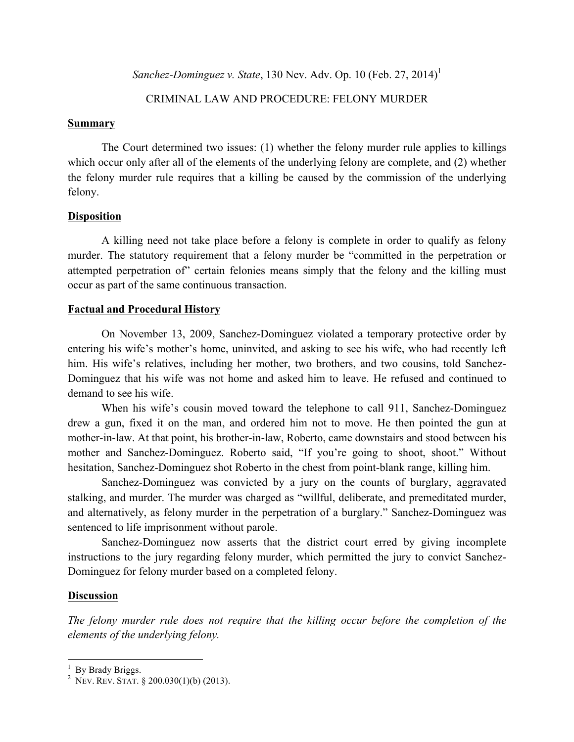*Sanchez-Dominguez v. State*, 130 Nev. Adv. Op. 10 (Feb. 27, 2014)<sup>1</sup>

#### CRIMINAL LAW AND PROCEDURE: FELONY MURDER

#### **Summary**

The Court determined two issues: (1) whether the felony murder rule applies to killings which occur only after all of the elements of the underlying felony are complete, and (2) whether the felony murder rule requires that a killing be caused by the commission of the underlying felony.

#### **Disposition**

A killing need not take place before a felony is complete in order to qualify as felony murder. The statutory requirement that a felony murder be "committed in the perpetration or attempted perpetration of" certain felonies means simply that the felony and the killing must occur as part of the same continuous transaction.

#### **Factual and Procedural History**

On November 13, 2009, Sanchez-Dominguez violated a temporary protective order by entering his wife's mother's home, uninvited, and asking to see his wife, who had recently left him. His wife's relatives, including her mother, two brothers, and two cousins, told Sanchez-Dominguez that his wife was not home and asked him to leave. He refused and continued to demand to see his wife.

When his wife's cousin moved toward the telephone to call 911, Sanchez-Dominguez drew a gun, fixed it on the man, and ordered him not to move. He then pointed the gun at mother-in-law. At that point, his brother-in-law, Roberto, came downstairs and stood between his mother and Sanchez-Dominguez. Roberto said, "If you're going to shoot, shoot." Without hesitation, Sanchez-Dominguez shot Roberto in the chest from point-blank range, killing him.

Sanchez-Dominguez was convicted by a jury on the counts of burglary, aggravated stalking, and murder. The murder was charged as "willful, deliberate, and premeditated murder, and alternatively, as felony murder in the perpetration of a burglary." Sanchez-Dominguez was sentenced to life imprisonment without parole.

Sanchez-Dominguez now asserts that the district court erred by giving incomplete instructions to the jury regarding felony murder, which permitted the jury to convict Sanchez-Dominguez for felony murder based on a completed felony.

#### **Discussion**

*The felony murder rule does not require that the killing occur before the completion of the elements of the underlying felony.*

<sup>&</sup>lt;sup>1</sup> By Brady Briggs.<br><sup>2</sup> NEV. REV. STAT. § 200.030(1)(b) (2013).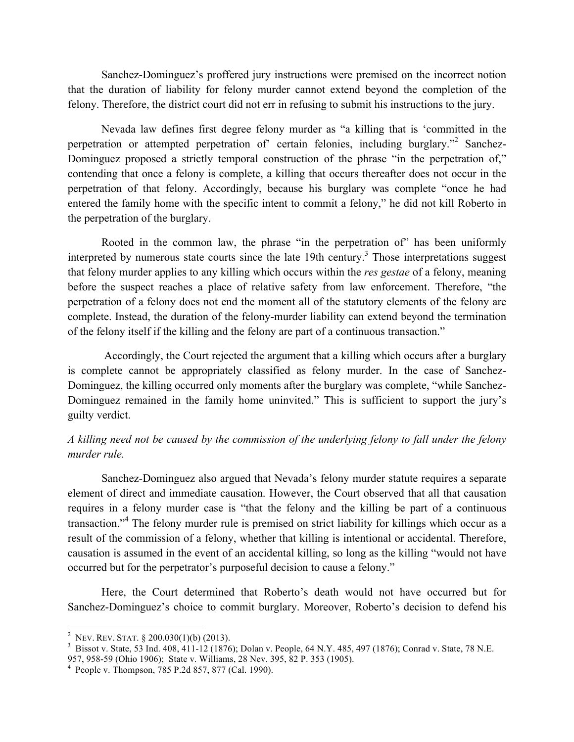Sanchez-Dominguez's proffered jury instructions were premised on the incorrect notion that the duration of liability for felony murder cannot extend beyond the completion of the felony. Therefore, the district court did not err in refusing to submit his instructions to the jury.

Nevada law defines first degree felony murder as "a killing that is 'committed in the perpetration or attempted perpetration of' certain felonies, including burglary."2 Sanchez-Dominguez proposed a strictly temporal construction of the phrase "in the perpetration of," contending that once a felony is complete, a killing that occurs thereafter does not occur in the perpetration of that felony. Accordingly, because his burglary was complete "once he had entered the family home with the specific intent to commit a felony," he did not kill Roberto in the perpetration of the burglary.

Rooted in the common law, the phrase "in the perpetration of" has been uniformly interpreted by numerous state courts since the late 19th century.<sup>3</sup> Those interpretations suggest that felony murder applies to any killing which occurs within the *res gestae* of a felony, meaning before the suspect reaches a place of relative safety from law enforcement. Therefore, "the perpetration of a felony does not end the moment all of the statutory elements of the felony are complete. Instead, the duration of the felony-murder liability can extend beyond the termination of the felony itself if the killing and the felony are part of a continuous transaction."

Accordingly, the Court rejected the argument that a killing which occurs after a burglary is complete cannot be appropriately classified as felony murder. In the case of Sanchez-Dominguez, the killing occurred only moments after the burglary was complete, "while Sanchez-Dominguez remained in the family home uninvited." This is sufficient to support the jury's guilty verdict.

#### *A killing need not be caused by the commission of the underlying felony to fall under the felony murder rule.*

Sanchez-Dominguez also argued that Nevada's felony murder statute requires a separate element of direct and immediate causation. However, the Court observed that all that causation requires in a felony murder case is "that the felony and the killing be part of a continuous transaction."4 The felony murder rule is premised on strict liability for killings which occur as a result of the commission of a felony, whether that killing is intentional or accidental. Therefore, causation is assumed in the event of an accidental killing, so long as the killing "would not have occurred but for the perpetrator's purposeful decision to cause a felony."

Here, the Court determined that Roberto's death would not have occurred but for Sanchez-Dominguez's choice to commit burglary. Moreover, Roberto's decision to defend his

<sup>&</sup>lt;sup>2</sup> NEV. REV. STAT. § 200.030(1)(b) (2013).

<sup>&</sup>lt;sup>3</sup> Bissot v. State, 53 Ind. 408, 411-12 (1876); Dolan v. People, 64 N.Y. 485, 497 (1876); Conrad v. State, 78 N.E. 957, 958-59 (Ohio 1906); State v. Williams, 28 Nev. 395, 82 P. 353 (1905). <sup>4</sup>

 $4$  People v. Thompson, 785 P.2d 857, 877 (Cal. 1990).